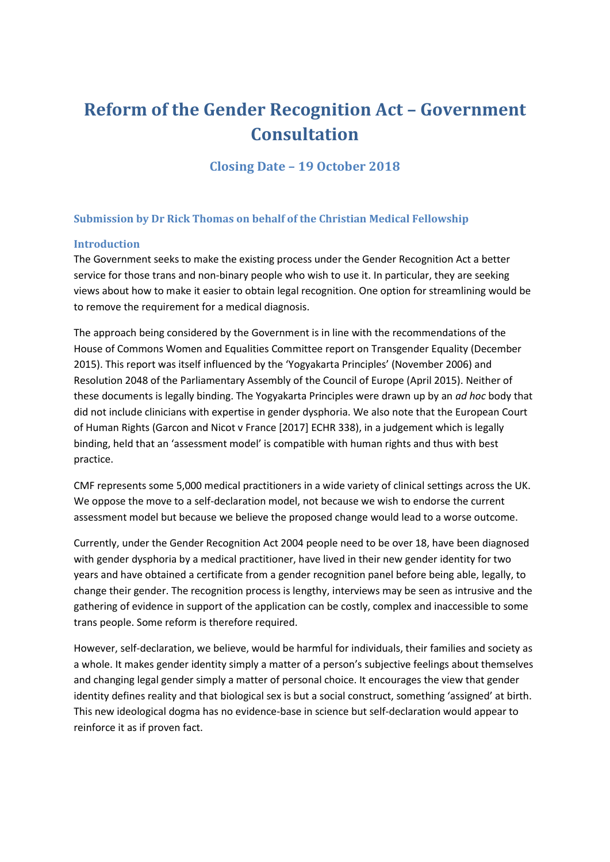# **Reform of the Gender Recognition Act – Government Consultation**

**Closing Date – 19 October 2018**

### **Submission by Dr Rick Thomas on behalf of the Christian Medical Fellowship**

#### **Introduction**

The Government seeks to make the existing process under the Gender Recognition Act a better service for those trans and non-binary people who wish to use it. In particular, they are seeking views about how to make it easier to obtain legal recognition. One option for streamlining would be to remove the requirement for a medical diagnosis.

The approach being considered by the Government is in line with the recommendations of the House of Commons Women and Equalities Committee report on Transgender Equality (December 2015). This report was itself influenced by the 'Yogyakarta Principles' (November 2006) and Resolution 2048 of the Parliamentary Assembly of the Council of Europe (April 2015). Neither of these documents is legally binding. The Yogyakarta Principles were drawn up by an *ad hoc* body that did not include clinicians with expertise in gender dysphoria. We also note that the European Court of Human Rights (Garcon and Nicot v France [2017] ECHR 338), in a judgement which is legally binding, held that an 'assessment model' is compatible with human rights and thus with best practice.

CMF represents some 5,000 medical practitioners in a wide variety of clinical settings across the UK. We oppose the move to a self-declaration model, not because we wish to endorse the current assessment model but because we believe the proposed change would lead to a worse outcome.

Currently, under the Gender Recognition Act 2004 people need to be over 18, have been diagnosed with gender dysphoria by a medical practitioner, have lived in their new gender identity for two years and have obtained a certificate from a gender recognition panel before being able, legally, to change their gender. The recognition process is lengthy, interviews may be seen as intrusive and the gathering of evidence in support of the application can be costly, complex and inaccessible to some trans people. Some reform is therefore required.

However, self-declaration, we believe, would be harmful for individuals, their families and society as a whole. It makes gender identity simply a matter of a person's subjective feelings about themselves and changing legal gender simply a matter of personal choice. It encourages the view that gender identity defines reality and that biological sex is but a social construct, something 'assigned' at birth. This new ideological dogma has no evidence-base in science but self-declaration would appear to reinforce it as if proven fact.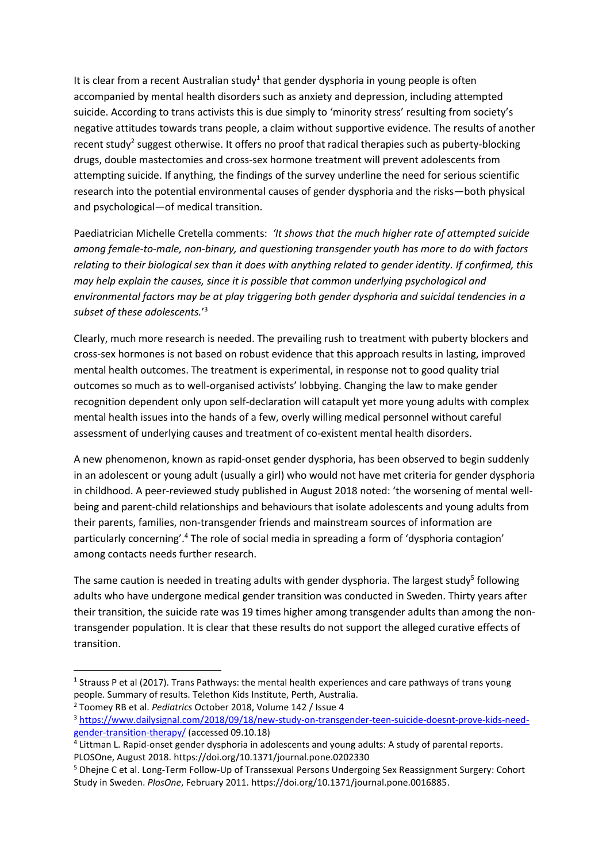It is clear from a recent Australian study<sup>1</sup> that gender dysphoria in young people is often accompanied by mental health disorders such as anxiety and depression, including attempted suicide. According to trans activists this is due simply to 'minority stress' resulting from society's negative attitudes towards trans people, a claim without supportive evidence. The results of another recent study<sup>2</sup> suggest otherwise. It offers no proof that radical therapies such as puberty-blocking drugs, double mastectomies and cross-sex hormone treatment will prevent adolescents from attempting suicide. If anything, the findings of the survey underline the need for serious scientific research into the potential environmental causes of gender dysphoria and the risks—both physical and psychological—of medical transition.

Paediatrician Michelle Cretella comments: *'It shows that the much higher rate of attempted suicide among female-to-male, non-binary, and questioning transgender youth has more to do with factors relating to their biological sex than it does with anything related to gender identity. If confirmed, this may help explain the causes, since it is possible that common underlying psychological and environmental factors may be at play triggering both gender dysphoria and suicidal tendencies in a subset of these adolescents.*' 3

Clearly, much more research is needed. The prevailing rush to treatment with puberty blockers and cross-sex hormones is not based on robust evidence that this approach results in lasting, improved mental health outcomes. The treatment is experimental, in response not to good quality trial outcomes so much as to well-organised activists' lobbying. Changing the law to make gender recognition dependent only upon self-declaration will catapult yet more young adults with complex mental health issues into the hands of a few, overly willing medical personnel without careful assessment of underlying causes and treatment of co-existent mental health disorders.

A new phenomenon, known as rapid-onset gender dysphoria, has been observed to begin suddenly in an adolescent or young adult (usually a girl) who would not have met criteria for gender dysphoria in childhood. A peer-reviewed study published in August 2018 noted: 'the worsening of mental wellbeing and parent-child relationships and behaviours that isolate adolescents and young adults from their parents, families, non-transgender friends and mainstream sources of information are particularly concerning'.<sup>4</sup> The role of social media in spreading a form of 'dysphoria contagion' among contacts needs further research.

The same caution is needed in treating adults with gender dysphoria. The largest study<sup>5</sup> following adults who have undergone medical gender transition was conducted in Sweden. Thirty years after their transition, the suicide rate was 19 times higher among transgender adults than among the nontransgender population. It is clear that these results do not support the alleged curative effects of transition.

 $\overline{a}$ 

<sup>&</sup>lt;sup>1</sup> Strauss P et al (2017). Trans Pathways: the mental health experiences and care pathways of trans young people. Summary of results. Telethon Kids Institute, Perth, Australia.

<sup>2</sup> Toomey RB et al. *Pediatrics* October 2018, Volume 142 / Issue 4

<sup>3</sup> [https://www.dailysignal.com/2018/09/18/new-study-on-transgender-teen-suicide-doesnt-prove-kids-need](https://www.dailysignal.com/2018/09/18/new-study-on-transgender-teen-suicide-doesnt-prove-kids-need-gender-transition-therapy/)[gender-transition-therapy/](https://www.dailysignal.com/2018/09/18/new-study-on-transgender-teen-suicide-doesnt-prove-kids-need-gender-transition-therapy/) (accessed 09.10.18)

<sup>&</sup>lt;sup>4</sup> Littman L. Rapid-onset gender dysphoria in adolescents and young adults: A study of parental reports. PLOSOne, August 2018. https://doi.org/10.1371/journal.pone.0202330

<sup>5</sup> Dhejne C et al. Long-Term Follow-Up of Transsexual Persons Undergoing Sex Reassignment Surgery: Cohort Study in Sweden. *PlosOne*, February 2011. https://doi.org/10.1371/journal.pone.0016885.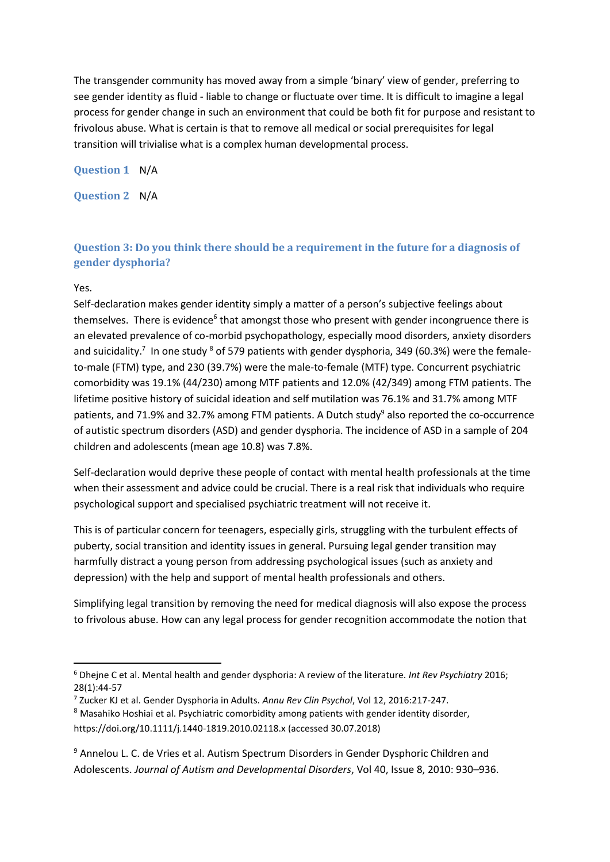The transgender community has moved away from a simple 'binary' view of gender, preferring to see gender identity as fluid - liable to change or fluctuate over time. It is difficult to imagine a legal process for gender change in such an environment that could be both fit for purpose and resistant to frivolous abuse. What is certain is that to remove all medical or social prerequisites for legal transition will trivialise what is a complex human developmental process.

**Question 1** N/A

**Question 2** N/A

# **Question 3: Do you think there should be a requirement in the future for a diagnosis of gender dysphoria?**

Yes.

Self-declaration makes gender identity simply a matter of a person's subjective feelings about themselves. There is evidence<sup>6</sup> that amongst those who present with gender incongruence there is an elevated prevalence of co-morbid psychopathology, especially mood disorders, anxiety disorders and suicidality.<sup>7</sup> In one study <sup>8</sup> of 579 patients with gender dysphoria, 349 (60.3%) were the femaleto-male (FTM) type, and 230 (39.7%) were the male-to-female (MTF) type. Concurrent psychiatric comorbidity was 19.1% (44/230) among MTF patients and 12.0% (42/349) among FTM patients. The lifetime positive history of suicidal ideation and self mutilation was 76.1% and 31.7% among MTF patients, and 71.9% and 32.7% among FTM patients. A Dutch study<sup>9</sup> also reported the co-occurrence of autistic spectrum disorders (ASD) and gender dysphoria. The incidence of ASD in a sample of 204 children and adolescents (mean age 10.8) was 7.8%.

Self-declaration would deprive these people of contact with mental health professionals at the time when their assessment and advice could be crucial. There is a real risk that individuals who require psychological support and specialised psychiatric treatment will not receive it.

This is of particular concern for teenagers, especially girls, struggling with the turbulent effects of puberty, social transition and identity issues in general. Pursuing legal gender transition may harmfully distract a young person from addressing psychological issues (such as anxiety and depression) with the help and support of mental health professionals and others.

Simplifying legal transition by removing the need for medical diagnosis will also expose the process to frivolous abuse. How can any legal process for gender recognition accommodate the notion that

**<sup>.</sup>** <sup>6</sup> Dhejne C et al. Mental health and gender dysphoria: A review of the literature. *Int Rev Psychiatry* 2016; 28(1):44-57

<sup>7</sup> Zucker KJ et al. Gender Dysphoria in Adults. *Annu Rev Clin Psychol*, Vol 12, 2016:217-247.

<sup>&</sup>lt;sup>8</sup> Masahiko Hoshiai et al. Psychiatric comorbidity among patients with gender identity disorder, https://doi.org/10.1111/j.1440-1819.2010.02118.x (accessed 30.07.2018)

<sup>9</sup> Annelou L. C. de Vries et al. Autism Spectrum Disorders in Gender Dysphoric Children and Adolescents. *Journal of Autism and Developmental Disorders*, Vol 40, Issue 8, 2010: 930–936.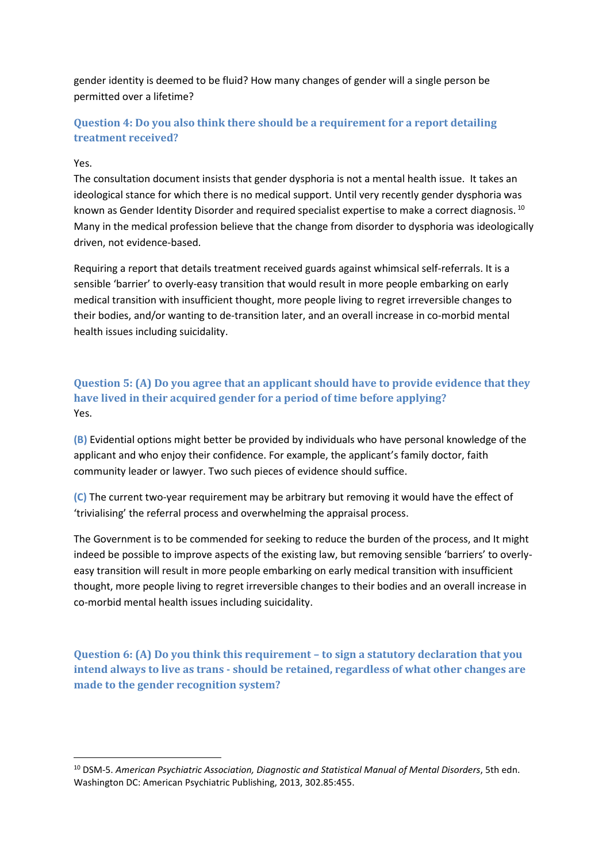gender identity is deemed to be fluid? How many changes of gender will a single person be permitted over a lifetime?

# **Question 4: Do you also think there should be a requirement for a report detailing treatment received?**

#### Yes.

1

The consultation document insists that gender dysphoria is not a mental health issue. It takes an ideological stance for which there is no medical support. Until very recently gender dysphoria was known as Gender Identity Disorder and required specialist expertise to make a correct diagnosis.<sup>10</sup> Many in the medical profession believe that the change from disorder to dysphoria was ideologically driven, not evidence-based.

Requiring a report that details treatment received guards against whimsical self-referrals. It is a sensible 'barrier' to overly-easy transition that would result in more people embarking on early medical transition with insufficient thought, more people living to regret irreversible changes to their bodies, and/or wanting to de-transition later, and an overall increase in co-morbid mental health issues including suicidality.

**Question 5: (A) Do you agree that an applicant should have to provide evidence that they have lived in their acquired gender for a period of time before applying?** Yes.

**(B)** Evidential options might better be provided by individuals who have personal knowledge of the applicant and who enjoy their confidence. For example, the applicant's family doctor, faith community leader or lawyer. Two such pieces of evidence should suffice.

**(C)** The current two-year requirement may be arbitrary but removing it would have the effect of 'trivialising' the referral process and overwhelming the appraisal process.

The Government is to be commended for seeking to reduce the burden of the process, and It might indeed be possible to improve aspects of the existing law, but removing sensible 'barriers' to overlyeasy transition will result in more people embarking on early medical transition with insufficient thought, more people living to regret irreversible changes to their bodies and an overall increase in co-morbid mental health issues including suicidality.

**Question 6: (A) Do you think this requirement – to sign a statutory declaration that you intend always to live as trans - should be retained, regardless of what other changes are made to the gender recognition system?**

<sup>10</sup> DSM-5. *American Psychiatric Association, Diagnostic and Statistical Manual of Mental Disorders*, 5th edn. Washington DC: American Psychiatric Publishing, 2013, 302.85:455.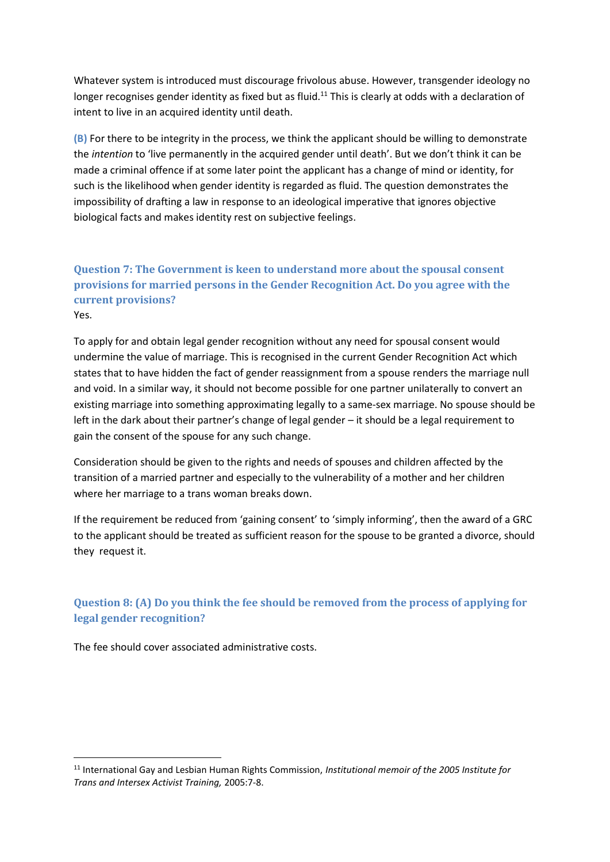Whatever system is introduced must discourage frivolous abuse. However, transgender ideology no longer recognises gender identity as fixed but as fluid.<sup>11</sup> This is clearly at odds with a declaration of intent to live in an acquired identity until death.

**(B)** For there to be integrity in the process, we think the applicant should be willing to demonstrate the *intention* to 'live permanently in the acquired gender until death'. But we don't think it can be made a criminal offence if at some later point the applicant has a change of mind or identity, for such is the likelihood when gender identity is regarded as fluid. The question demonstrates the impossibility of drafting a law in response to an ideological imperative that ignores objective biological facts and makes identity rest on subjective feelings.

# **Question 7: The Government is keen to understand more about the spousal consent provisions for married persons in the Gender Recognition Act. Do you agree with the current provisions?** Yes.

To apply for and obtain legal gender recognition without any need for spousal consent would undermine the value of marriage. This is recognised in the current Gender Recognition Act which states that to have hidden the fact of gender reassignment from a spouse renders the marriage null and void. In a similar way, it should not become possible for one partner unilaterally to convert an existing marriage into something approximating legally to a same-sex marriage. No spouse should be left in the dark about their partner's change of legal gender – it should be a legal requirement to gain the consent of the spouse for any such change.

Consideration should be given to the rights and needs of spouses and children affected by the transition of a married partner and especially to the vulnerability of a mother and her children where her marriage to a trans woman breaks down.

If the requirement be reduced from 'gaining consent' to 'simply informing', then the award of a GRC to the applicant should be treated as sufficient reason for the spouse to be granted a divorce, should they request it.

# **Question 8: (A) Do you think the fee should be removed from the process of applying for legal gender recognition?**

The fee should cover associated administrative costs.

1

<sup>11</sup> International Gay and Lesbian Human Rights Commission, *Institutional memoir of the 2005 Institute for Trans and Intersex Activist Training,* 2005:7-8.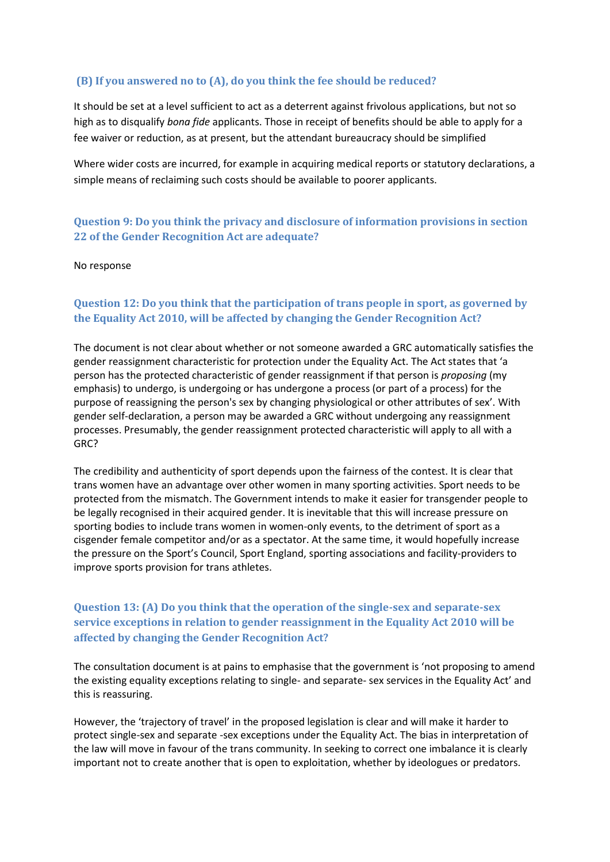### **(B) If you answered no to (A), do you think the fee should be reduced?**

It should be set at a level sufficient to act as a deterrent against frivolous applications, but not so high as to disqualify *bona fide* applicants. Those in receipt of benefits should be able to apply for a fee waiver or reduction, as at present, but the attendant bureaucracy should be simplified

Where wider costs are incurred, for example in acquiring medical reports or statutory declarations, a simple means of reclaiming such costs should be available to poorer applicants.

# **Question 9: Do you think the privacy and disclosure of information provisions in section 22 of the Gender Recognition Act are adequate?**

#### No response

# **Question 12: Do you think that the participation of trans people in sport, as governed by the Equality Act 2010, will be affected by changing the Gender Recognition Act?**

The document is not clear about whether or not someone awarded a GRC automatically satisfies the gender reassignment characteristic for protection under the Equality Act. The Act states that 'a person has the protected characteristic of gender reassignment if that person is *proposing* (my emphasis) to undergo, is undergoing or has undergone a process (or part of a process) for the purpose of reassigning the person's sex by changing physiological or other attributes of sex'. With gender self-declaration, a person may be awarded a GRC without undergoing any reassignment processes. Presumably, the gender reassignment protected characteristic will apply to all with a GRC?

The credibility and authenticity of sport depends upon the fairness of the contest. It is clear that trans women have an advantage over other women in many sporting activities. Sport needs to be protected from the mismatch. The Government intends to make it easier for transgender people to be legally recognised in their acquired gender. It is inevitable that this will increase pressure on sporting bodies to include trans women in women-only events, to the detriment of sport as a cisgender female competitor and/or as a spectator. At the same time, it would hopefully increase the pressure on the Sport's Council, Sport England, sporting associations and facility-providers to improve sports provision for trans athletes.

# **Question 13: (A) Do you think that the operation of the single-sex and separate-sex service exceptions in relation to gender reassignment in the Equality Act 2010 will be affected by changing the Gender Recognition Act?**

The consultation document is at pains to emphasise that the government is 'not proposing to amend the existing equality exceptions relating to single- and separate- sex services in the Equality Act' and this is reassuring.

However, the 'trajectory of travel' in the proposed legislation is clear and will make it harder to protect single-sex and separate -sex exceptions under the Equality Act. The bias in interpretation of the law will move in favour of the trans community. In seeking to correct one imbalance it is clearly important not to create another that is open to exploitation, whether by ideologues or predators.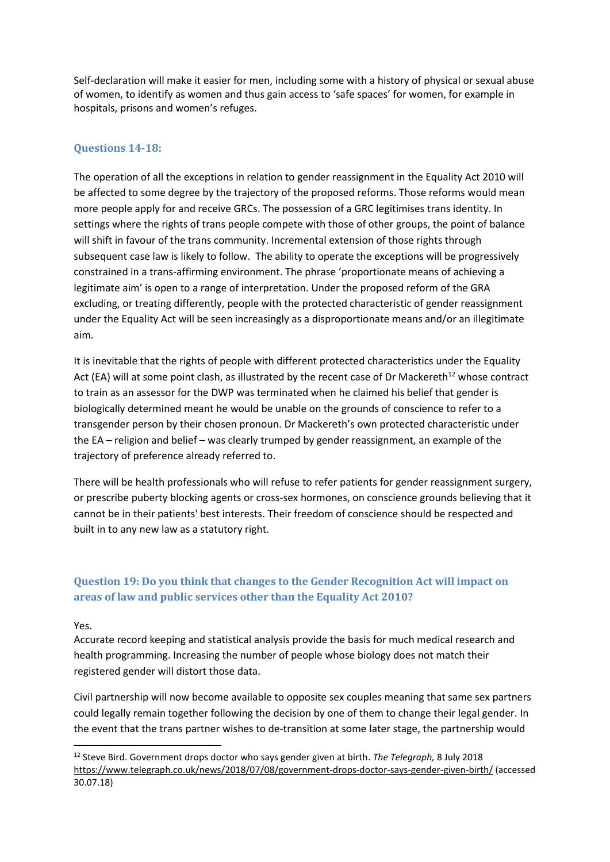Self-declaration will make it easier for men, including some with a history of physical or sexual abuse of women, to identify as women and thus gain access to 'safe spaces' for women, for example in hospitals, prisons and women's refuges.

### **Questions 14-18:**

The operation of all the exceptions in relation to gender reassignment in the Equality Act 2010 will be affected to some degree by the trajectory of the proposed reforms. Those reforms would mean more people apply for and receive GRCs. The possession of a GRC legitimises trans identity. In settings where the rights of trans people compete with those of other groups, the point of balance will shift in favour of the trans community. Incremental extension of those rights through subsequent case law is likely to follow. The ability to operate the exceptions will be progressively constrained in a trans-affirming environment. The phrase 'proportionate means of achieving a legitimate aim' is open to a range of interpretation. Under the proposed reform of the GRA excluding, or treating differently, people with the protected characteristic of gender reassignment under the Equality Act will be seen increasingly as a disproportionate means and/or an illegitimate aim.

It is inevitable that the rights of people with different protected characteristics under the Equality Act (EA) will at some point clash, as illustrated by the recent case of Dr Mackereth<sup>12</sup> whose contract to train as an assessor for the DWP was terminated when he claimed his belief that gender is biologically determined meant he would be unable on the grounds of conscience to refer to a transgender person by their chosen pronoun. Dr Mackereth's own protected characteristic under the EA – religion and belief – was clearly trumped by gender reassignment, an example of the trajectory of preference already referred to.

There will be health professionals who will refuse to refer patients for gender reassignment surgery, or prescribe puberty blocking agents or cross-sex hormones, on conscience grounds believing that it cannot be in their patients' best interests. Their freedom of conscience should be respected and built in to any new law as a statutory right.

# **Question 19: Do you think that changes to the Gender Recognition Act will impact on areas of law and public services other than the Equality Act 2010?**

#### Yes.

**.** 

Accurate record keeping and statistical analysis provide the basis for much medical research and health programming. Increasing the number of people whose biology does not match their registered gender will distort those data.

Civil partnership will now become available to opposite sex couples meaning that same sex partners could legally remain together following the decision by one of them to change their legal gender. In the event that the trans partner wishes to de-transition at some later stage, the partnership would

<sup>12</sup> Steve Bird. Government drops doctor who says gender given at birth. *The Telegraph,* 8 July 2018 <https://www.telegraph.co.uk/news/2018/07/08/government-drops-doctor-says-gender-given-birth/> (accessed 30.07.18)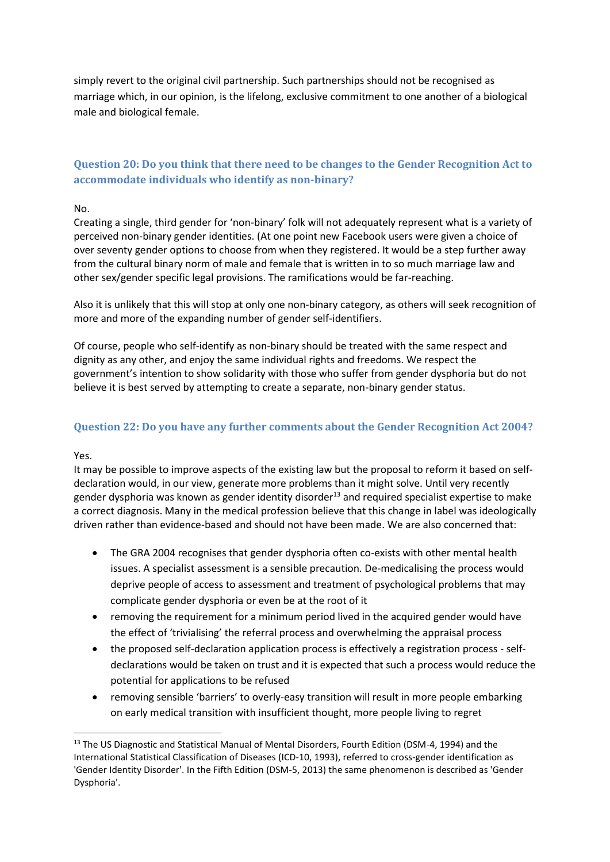simply revert to the original civil partnership. Such partnerships should not be recognised as marriage which, in our opinion, is the lifelong, exclusive commitment to one another of a biological male and biological female.

# **Question 20: Do you think that there need to be changes to the Gender Recognition Act to accommodate individuals who identify as non-binary?**

#### No.

Creating a single, third gender for 'non-binary' folk will not adequately represent what is a variety of perceived non-binary gender identities. (At one point new Facebook users were given a choice of over seventy gender options to choose from when they registered. It would be a step further away from the cultural binary norm of male and female that is written in to so much marriage law and other sex/gender specific legal provisions. The ramifications would be far-reaching.

Also it is unlikely that this will stop at only one non-binary category, as others will seek recognition of more and more of the expanding number of gender self-identifiers.

Of course, people who self-identify as non-binary should be treated with the same respect and dignity as any other, and enjoy the same individual rights and freedoms. We respect the government's intention to show solidarity with those who suffer from gender dysphoria but do not believe it is best served by attempting to create a separate, non-binary gender status.

### **Question 22: Do you have any further comments about the Gender Recognition Act 2004?**

Yes.

1

It may be possible to improve aspects of the existing law but the proposal to reform it based on selfdeclaration would, in our view, generate more problems than it might solve. Until very recently gender dysphoria was known as gender identity disorder<sup>13</sup> and required specialist expertise to make a correct diagnosis. Many in the medical profession believe that this change in label was ideologically driven rather than evidence-based and should not have been made. We are also concerned that:

- The GRA 2004 recognises that gender dysphoria often co-exists with other mental health issues. A specialist assessment is a sensible precaution. De-medicalising the process would deprive people of access to assessment and treatment of psychological problems that may complicate gender dysphoria or even be at the root of it
- removing the requirement for a minimum period lived in the acquired gender would have the effect of 'trivialising' the referral process and overwhelming the appraisal process
- the proposed self-declaration application process is effectively a registration process selfdeclarations would be taken on trust and it is expected that such a process would reduce the potential for applications to be refused
- removing sensible 'barriers' to overly-easy transition will result in more people embarking on early medical transition with insufficient thought, more people living to regret

<sup>&</sup>lt;sup>13</sup> The US Diagnostic and Statistical Manual of Mental Disorders, Fourth Edition (DSM-4, 1994) and the International Statistical Classification of Diseases (ICD-10, 1993), referred to cross-gender identification as 'Gender Identity Disorder'. In the Fifth Edition (DSM-5, 2013) the same phenomenon is described as 'Gender Dysphoria'.